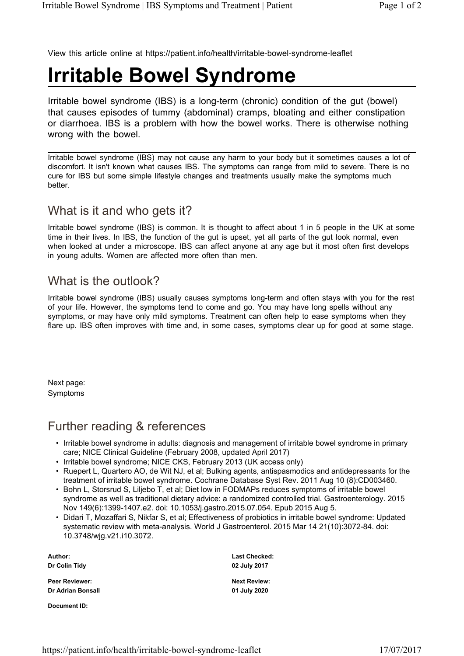View this article online at https://patient.info/health/irritable-bowel-syndrome-leaflet

## **Irritable Bowel Syndrome**

Irritable bowel syndrome (IBS) is a long-term (chronic) condition of the gut (bowel) that causes episodes of tummy (abdominal) cramps, bloating and either constipation or diarrhoea. IBS is a problem with how the bowel works. There is otherwise nothing wrong with the bowel.

Irritable bowel syndrome (IBS) may not cause any harm to your body but it sometimes causes a lot of discomfort. It isn't known what causes IBS. The symptoms can range from mild to severe. There is no cure for IBS but some simple lifestyle changes and treatments usually make the symptoms much better.

## What is it and who gets it?

Irritable bowel syndrome (IBS) is common. It is thought to affect about 1 in 5 people in the UK at some time in their lives. In IBS, the function of the gut is upset, yet all parts of the gut look normal, even when looked at under a microscope. IBS can affect anyone at any age but it most often first develops in young adults. Women are affected more often than men.

## What is the outlook?

Irritable bowel syndrome (IBS) usually causes symptoms long-term and often stays with you for the rest of your life. However, the symptoms tend to come and go. You may have long spells without any symptoms, or may have only mild symptoms. Treatment can often help to ease symptoms when they flare up. IBS often improves with time and, in some cases, symptoms clear up for good at some stage.

Next page: Symptoms

## Further reading & references

- Irritable bowel syndrome in adults: diagnosis and management of irritable bowel syndrome in primary care; NICE Clinical Guideline (February 2008, updated April 2017)
- Irritable bowel syndrome; NICE CKS, February 2013 (UK access only)
- Ruepert L, Quartero AO, de Wit NJ, et al; Bulking agents, antispasmodics and antidepressants for the treatment of irritable bowel syndrome. Cochrane Database Syst Rev. 2011 Aug 10 (8):CD003460.
- Bohn L, Storsrud S, Liljebo T, et al; Diet low in FODMAPs reduces symptoms of irritable bowel syndrome as well as traditional dietary advice: a randomized controlled trial. Gastroenterology. 2015 Nov 149(6):1399-1407.e2. doi: 10.1053/j.gastro.2015.07.054. Epub 2015 Aug 5.
- Didari T, Mozaffari S, Nikfar S, et al; Effectiveness of probiotics in irritable bowel syndrome: Updated systematic review with meta-analysis. World J Gastroenterol. 2015 Mar 14 21(10):3072-84. doi: 10.3748/wjg.v21.i10.3072.

**Author: Dr Colin Tidy**

**Peer Reviewer: Dr Adrian Bonsall**

**Document ID:**

**Last Checked: 02 July 2017**

**Next Review: 01 July 2020**